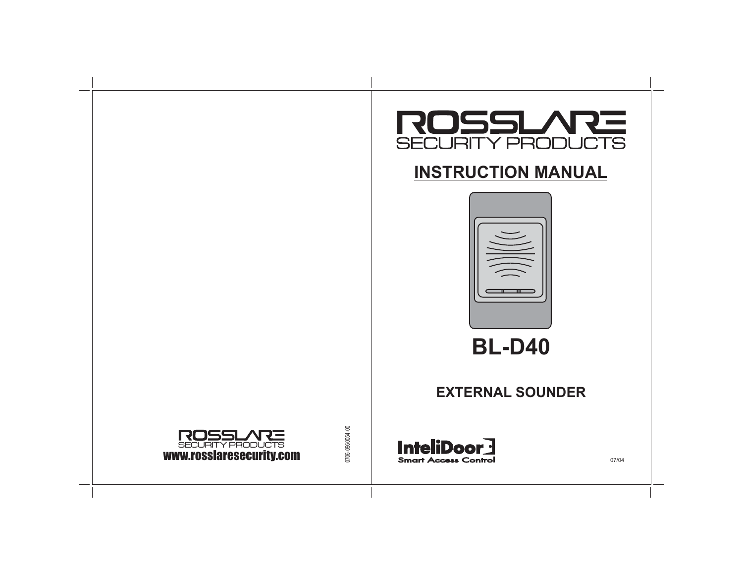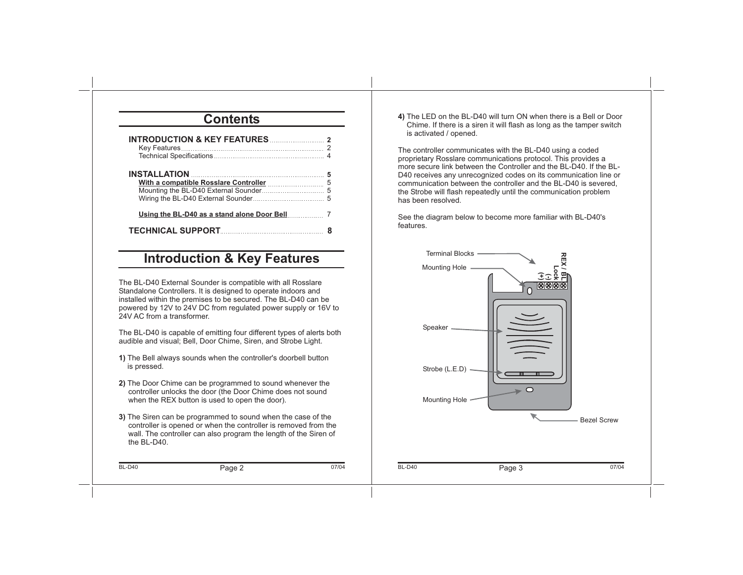### **Contents**

| INTRODUCTION & KEY FEATURES 2                 |  |
|-----------------------------------------------|--|
|                                               |  |
| Using the BL-D40 as a stand alone Door Bell 7 |  |
| TECHNICAL SUPPORT 8                           |  |

### **Introduction & Key Features**

The BL-D40 External Sounder is compatible with all Rosslare Standalone Controllers. It is designed to operate indoors and installed within the premises to be secured. The BL-D40 can be powered by 12V to 24V DC from regulated power supply or 16V to 24V AC from a transformer.

The BL-D40 is capable of emitting four different types of alerts both audible and visual; Bell, Door Chime, Siren, and Strobe Light.

- The Bell always sounds when the controller's doorbell button **1)** is pressed.
- The Door Chime can be programmed to sound whenever the **2)** controller unlocks the door (the Door Chime does not sound when the REX button is used to open the door).
- The Siren can be programmed to sound when the case of the **3)** controller is opened or when the controller is removed from the wall. The controller can also program the length of the Siren of the BL-D40.

BL-D40

**4)** The LED on the BL-D40 will turn ON when there is <sup>a</sup> Bell or Door Chime. If there is <sup>a</sup> siren it will flash as long as the tamper switch is activated / opened.

The controller communicates with the BL-D40 using <sup>a</sup> coded proprietary Rosslare communications protocol. This provides <sup>a</sup> more secure link between the Controller and the BL-D40. If the BL-D40 receives any unrecognized codes on its communication line or communication between the controller and the BL-D40 is severed, the Strobe will flash repeatedly until the communication problem has been resolved.

See the diagram below to become more familiar with BL-D40's features.

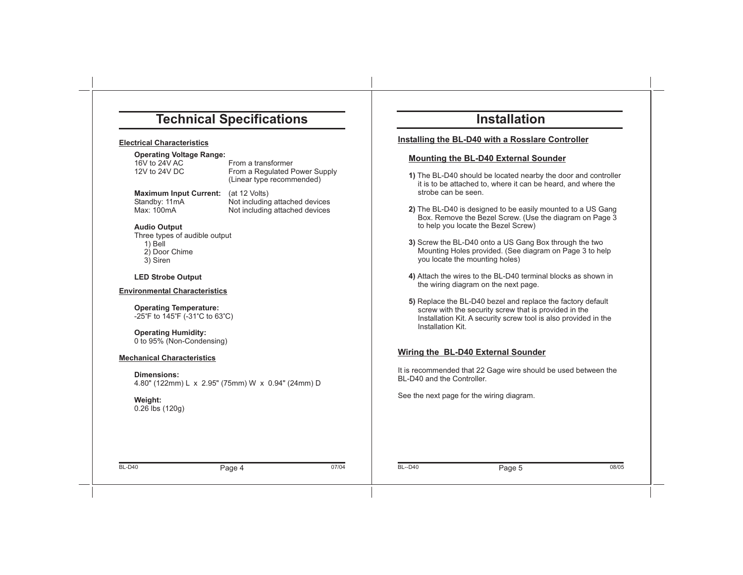### **Technical Specifications**

#### **Electrical Characteristics**

# **Operating Voltage Range:**<br>16V to 24V AC

From a transformer 12V to 24V DC From a Regulated Power Supply (Linear type recommended)

**Maximum Input Current:**<br>Standby: 11mA

(at 12 Volts) Standby: 11mA Not including attached devices<br>
Max: 100mA Not including attached devices Not including attached devices

#### **Audio Output**

Three types of audible output 1) Bell 2) Door Chime 3) Siren

#### **LED Strobe Output**

#### **Environmental Characteristics**

**Operating Temperature:**  $-25^\circ$ F to 145 $\circ$ F ( $-31^\circ$ C to 63 $\circ$ C)

**Operating Humidity:** 0 to 95% (Non-Condensing)

#### **Mechanical Characteristics**

**Dimensions:**4.80" (122mm) L <sup>x</sup> 2.95" (75mm) W <sup>x</sup> 0.94" (24mm) D

#### **Weight:** 0.26 lbs (120g)

# **Installation**

#### **Installing the BL-D40 with <sup>a</sup> Rosslare Controller**

#### **Mounting the BL-D40 External Sounder**

- **1)** The BL-D40 should be located nearby the door and controller it is to be attached to, where it can be heard, and where the strobe can be seen.
- **2)** The BL-D40 is designed to be easily mounted to <sup>a</sup> US Gang Box. Remove the Bezel Screw. (Use the diagram on Page 3 to help you locate the Bezel Screw)
- **3)** Screw the BL-D40 onto <sup>a</sup> US Gang Box through the two Mounting Holes provided. (See diagram on Page 3 to help you locate the mounting holes)
- **4)** Attach the wires to the BL-D40 terminal blocks as shown in the wiring diagram on the next page.
- **5)** Replace the BL-D40 bezel and replace the factory default screw with the security screw that is provided in the Installation Kit. A security screw tool is also provided in the Installation Kit.

#### **Wiring the BL-D40 External Sounder**

It is recommended that 22 Gage wire should be used between the BL-D40 and the Controller.

See the next page for the wiring diagram.

07/04

4 BL--D40 **Page 5** 08/05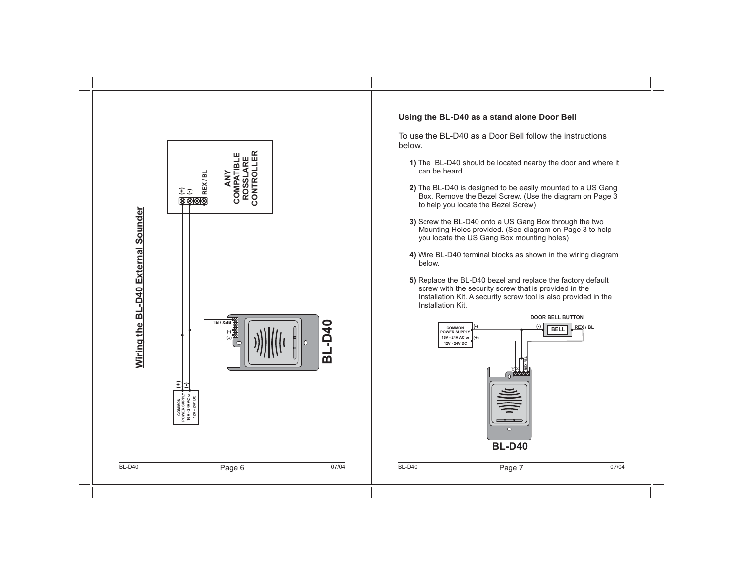